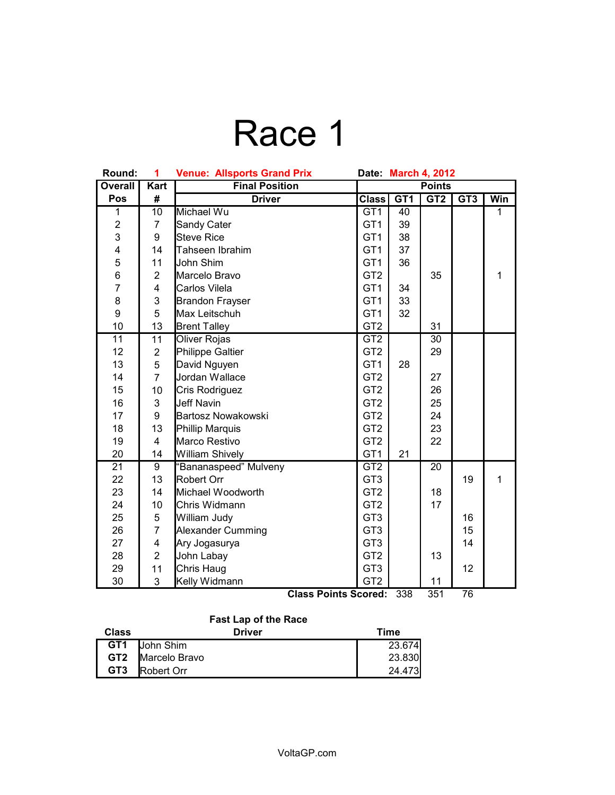## Race 1

| Round:          | 1                       | <b>Venue: Allsports Grand Prix</b><br>Date March 4, 2012 |                 |                 |                      |                          |                |
|-----------------|-------------------------|----------------------------------------------------------|-----------------|-----------------|----------------------|--------------------------|----------------|
| <b>Overall</b>  | <b>Kart</b>             | <b>Final Position</b>                                    | <b>Points</b>   |                 |                      |                          |                |
| Pos             | #                       | <b>Driver</b>                                            | <b>Class</b>    | GT <sub>1</sub> | GT2                  | GT3                      | Win            |
| 1               | 10                      | Michael Wu                                               | GT1             | 40              |                      |                          | $\overline{1}$ |
| $\overline{c}$  | $\overline{7}$          | Sandy Cater                                              | GT <sub>1</sub> | 39              |                      |                          |                |
| 3               | 9                       | <b>Steve Rice</b>                                        | GT <sub>1</sub> | 38              |                      |                          |                |
| 4               | 14                      | Tahseen Ibrahim                                          | GT <sub>1</sub> | 37              |                      |                          |                |
| 5               | 11                      | John Shim                                                | GT <sub>1</sub> | 36              |                      |                          |                |
| 6               | $\overline{2}$          | Marcelo Bravo                                            | GT <sub>2</sub> |                 | 35                   |                          | $\mathbf{1}$   |
| $\overline{7}$  | $\overline{4}$          | Carlos Vilela                                            | GT <sub>1</sub> | 34              |                      |                          |                |
| 8               | 3                       | <b>Brandon Frayser</b>                                   | GT <sub>1</sub> | 33              |                      |                          |                |
| 9               | 5                       | Max Leitschuh                                            | GT <sub>1</sub> | 32              |                      |                          |                |
| 10              | 13                      | <b>Brent Talley</b>                                      | GT <sub>2</sub> |                 | 31                   |                          |                |
| 11              | 11                      | Oliver Rojas                                             | GT <sub>2</sub> |                 | 30                   |                          |                |
| 12              | $\mathbf 2$             | <b>Philippe Galtier</b>                                  | GT <sub>2</sub> |                 | 29                   |                          |                |
| 13              | 5                       | David Nguyen                                             | GT <sub>1</sub> | 28              |                      |                          |                |
| 14              | $\overline{7}$          | Jordan Wallace                                           | GT <sub>2</sub> |                 | 27                   |                          |                |
| 15              | 10                      | Cris Rodriguez                                           | GT <sub>2</sub> |                 | 26                   |                          |                |
| 16              | 3                       | <b>Jeff Navin</b>                                        | GT <sub>2</sub> |                 | 25                   |                          |                |
| 17              | 9                       | <b>Bartosz Nowakowski</b>                                | GT <sub>2</sub> |                 | 24                   |                          |                |
| 18              | 13                      | Phillip Marquis                                          | GT <sub>2</sub> |                 | 23                   |                          |                |
| 19              | $\overline{4}$          | Marco Restivo                                            | GT <sub>2</sub> |                 | 22                   |                          |                |
| 20              | 14                      | <b>William Shively</b>                                   | GT <sub>1</sub> | 21              |                      |                          |                |
| $\overline{21}$ | $\overline{9}$          | "Bananaspeed" Mulveny                                    | GT2             |                 | $\overline{20}$      |                          |                |
| 22              | 13                      | Robert Orr                                               | GT <sub>3</sub> |                 |                      | 19                       | $\mathbf{1}$   |
| 23              | 14                      | Michael Woodworth                                        | GT <sub>2</sub> |                 | 18                   |                          |                |
| 24              | 10                      | Chris Widmann                                            | GT <sub>2</sub> |                 | 17                   |                          |                |
| 25              | $\mathbf 5$             | William Judy                                             | GT <sub>3</sub> |                 |                      | 16                       |                |
| 26              | $\overline{7}$          | <b>Alexander Cumming</b>                                 | GT <sub>3</sub> |                 |                      | 15                       |                |
| 27              | $\overline{\mathbf{4}}$ | Ary Jogasurya                                            | GT <sub>3</sub> |                 |                      | 14                       |                |
| 28              | $\overline{2}$          | John Labay                                               | GT <sub>2</sub> |                 | 13                   |                          |                |
| 29              | 11                      | Chris Haug                                               | GT <sub>3</sub> |                 |                      | 12                       |                |
| 30              | 3                       | Kelly Widmann                                            | GT <sub>2</sub> |                 | 11<br>$\overline{2}$ | $\overline{\phantom{a}}$ |                |

**Class Points Scored:** 338 351 76

#### **Fast Lap of the Race**

| <b>Class</b>    | <b>Driver</b>     | Time   |
|-----------------|-------------------|--------|
| GT <sub>1</sub> | John Shim         | 23.674 |
| GT2             | Marcelo Bravo     | 23.830 |
| GT <sub>3</sub> | <b>Robert Orr</b> | 24.473 |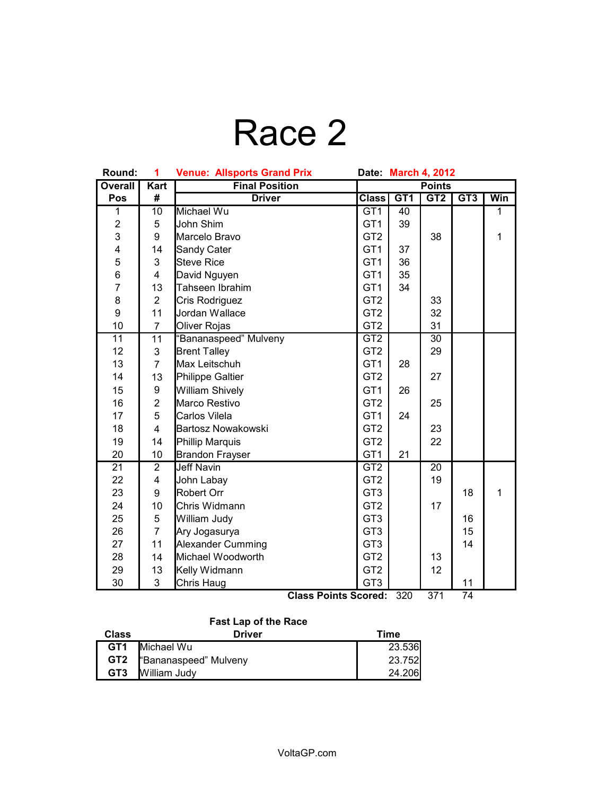# Race 2

| Round:                  | 1                       | <b>Venue: Allsports Grand Prix</b>           | Date: March 4, 2012 |                 |                 |                       |              |
|-------------------------|-------------------------|----------------------------------------------|---------------------|-----------------|-----------------|-----------------------|--------------|
| <b>Overall</b>          | <b>Kart</b>             | <b>Final Position</b>                        | <b>Points</b>       |                 |                 |                       |              |
| Pos                     | #                       | <b>Driver</b>                                | <b>Class</b>        | G <sub>T1</sub> | GT2             | GT3                   | Win          |
| 1                       | 10                      | Michael Wu                                   | GT <sub>1</sub>     | 40              |                 |                       | $\mathbf{1}$ |
| $\overline{c}$          | 5                       | John Shim                                    | GT <sub>1</sub>     | 39              |                 |                       |              |
| 3                       | 9                       | Marcelo Bravo                                | GT <sub>2</sub>     |                 | 38              |                       | $\mathbf{1}$ |
| $\overline{\mathbf{4}}$ | 14                      | Sandy Cater                                  | GT <sub>1</sub>     | 37              |                 |                       |              |
| 5                       | 3                       | <b>Steve Rice</b>                            | GT <sub>1</sub>     | 36              |                 |                       |              |
| 6                       | $\overline{4}$          | David Nguyen                                 | GT <sub>1</sub>     | 35              |                 |                       |              |
| $\overline{7}$          | 13                      | Tahseen Ibrahim                              | GT <sub>1</sub>     | 34              |                 |                       |              |
| 8                       | $\overline{2}$          | Cris Rodriguez                               | GT <sub>2</sub>     |                 | 33              |                       |              |
| 9                       | 11                      | Jordan Wallace                               | GT <sub>2</sub>     |                 | 32              |                       |              |
| 10                      | $\overline{7}$          | Oliver Rojas                                 | GT <sub>2</sub>     |                 | 31              |                       |              |
| $\overline{11}$         | $\overline{11}$         | "Bananaspeed" Mulveny                        | GT2                 |                 | $\overline{30}$ |                       |              |
| 12                      | 3                       | <b>Brent Talley</b>                          | GT <sub>2</sub>     |                 | 29              |                       |              |
| 13                      | $\overline{7}$          | Max Leitschuh                                | GT <sub>1</sub>     | 28              |                 |                       |              |
| 14                      | 13                      | Philippe Galtier                             | GT <sub>2</sub>     |                 | 27              |                       |              |
| 15                      | 9                       | <b>William Shively</b>                       | GT <sub>1</sub>     | 26              |                 |                       |              |
| 16                      | $\overline{2}$          | Marco Restivo                                | GT <sub>2</sub>     |                 | 25              |                       |              |
| 17                      | 5                       | Carlos Vilela                                | GT <sub>1</sub>     | 24              |                 |                       |              |
| 18                      | $\overline{\mathbf{4}}$ | <b>Bartosz Nowakowski</b>                    | GT <sub>2</sub>     |                 | 23              |                       |              |
| 19                      | 14                      | <b>Phillip Marquis</b>                       | GT <sub>2</sub>     |                 | 22              |                       |              |
| 20                      | 10                      | <b>Brandon Frayser</b>                       | GT <sub>1</sub>     | 21              |                 |                       |              |
| 21                      | $\overline{2}$          | <b>Jeff Navin</b>                            | GT <sub>2</sub>     |                 | 20              |                       |              |
| 22                      | $\overline{\mathbf{4}}$ | John Labay                                   | GT <sub>2</sub>     |                 | 19              |                       |              |
| 23                      | 9                       | Robert Orr                                   | GT <sub>3</sub>     |                 |                 | 18                    | $\mathbf{1}$ |
| 24                      | 10                      | Chris Widmann                                | GT <sub>2</sub>     |                 | 17              |                       |              |
| 25                      | 5                       | William Judy                                 | GT <sub>3</sub>     |                 |                 | 16                    |              |
| 26                      | $\overline{7}$          | Ary Jogasurya                                | GT <sub>3</sub>     |                 |                 | 15                    |              |
| 27                      | 11                      | <b>Alexander Cumming</b>                     | GT <sub>3</sub>     |                 |                 | 14                    |              |
| 28                      | 14                      | Michael Woodworth                            | GT <sub>2</sub>     |                 | 13              |                       |              |
| 29                      | 13                      | Kelly Widmann                                | GT <sub>2</sub>     |                 | 12              |                       |              |
| 30                      | 3                       | Chris Haug<br>$\overline{\phantom{a}}$<br>n. | GT <sub>3</sub>     | 000             | 274             | 11<br>$\overline{71}$ |              |

**Class Points Scored:** 320 371 74

### **Fast Lap of the Race**

| <b>Class</b>    | <b>Driver</b>         | Time   |
|-----------------|-----------------------|--------|
| GT <sub>1</sub> | Michael Wu            | 23.536 |
| GT <sub>2</sub> | "Bananaspeed" Mulveny | 23.752 |
| GT <sub>3</sub> | William Judy          | 24.206 |